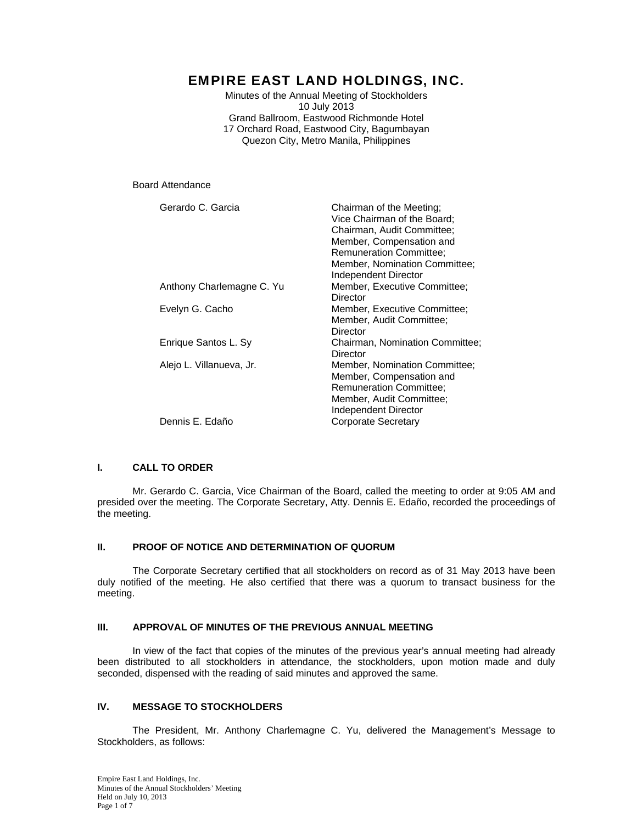# EMPIRE EAST LAND HOLDINGS, INC.

Minutes of the Annual Meeting of Stockholders 10 July 2013 Grand Ballroom, Eastwood Richmonde Hotel 17 Orchard Road, Eastwood City, Bagumbayan Quezon City, Metro Manila, Philippines

Board Attendance

| Gerardo C. Garcia         | Chairman of the Meeting;<br>Vice Chairman of the Board;<br>Chairman, Audit Committee;<br>Member, Compensation and<br><b>Remuneration Committee:</b><br>Member, Nomination Committee:<br>Independent Director |
|---------------------------|--------------------------------------------------------------------------------------------------------------------------------------------------------------------------------------------------------------|
| Anthony Charlemagne C. Yu | Member, Executive Committee;<br>Director                                                                                                                                                                     |
| Evelyn G. Cacho           | Member, Executive Committee;<br>Member, Audit Committee;<br>Director                                                                                                                                         |
| Enrique Santos L. Sy      | Chairman, Nomination Committee;<br>Director                                                                                                                                                                  |
| Alejo L. Villanueva, Jr.  | Member, Nomination Committee;<br>Member, Compensation and<br><b>Remuneration Committee:</b><br>Member, Audit Committee;<br>Independent Director                                                              |
| Dennis E. Edaño           | Corporate Secretary                                                                                                                                                                                          |

# **I. CALL TO ORDER**

 Mr. Gerardo C. Garcia, Vice Chairman of the Board, called the meeting to order at 9:05 AM and presided over the meeting. The Corporate Secretary, Atty. Dennis E. Edaño, recorded the proceedings of the meeting.

# **II. PROOF OF NOTICE AND DETERMINATION OF QUORUM**

 The Corporate Secretary certified that all stockholders on record as of 31 May 2013 have been duly notified of the meeting. He also certified that there was a quorum to transact business for the meeting.

# **III. APPROVAL OF MINUTES OF THE PREVIOUS ANNUAL MEETING**

 In view of the fact that copies of the minutes of the previous year's annual meeting had already been distributed to all stockholders in attendance, the stockholders, upon motion made and duly seconded, dispensed with the reading of said minutes and approved the same.

# **IV. MESSAGE TO STOCKHOLDERS**

 The President, Mr. Anthony Charlemagne C. Yu, delivered the Management's Message to Stockholders, as follows: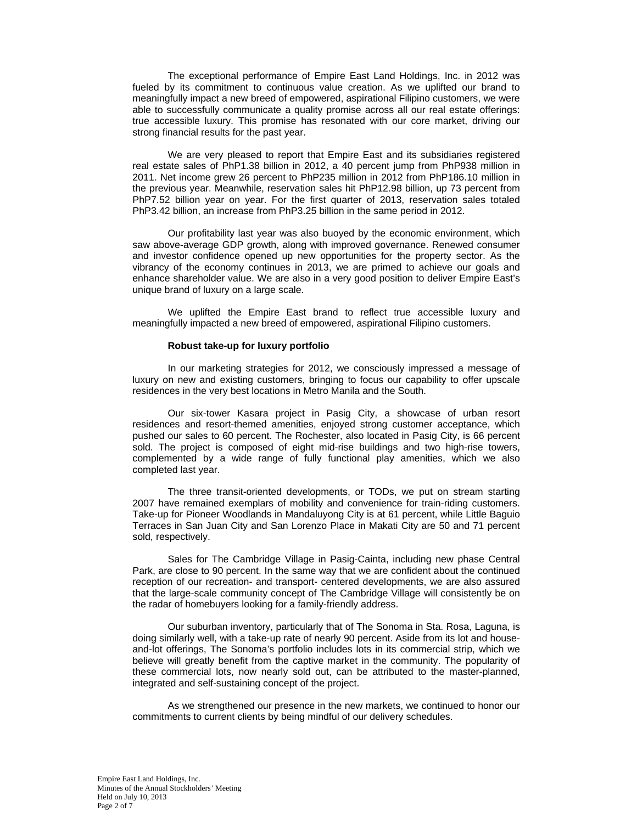The exceptional performance of Empire East Land Holdings, Inc. in 2012 was fueled by its commitment to continuous value creation. As we uplifted our brand to meaningfully impact a new breed of empowered, aspirational Filipino customers, we were able to successfully communicate a quality promise across all our real estate offerings: true accessible luxury. This promise has resonated with our core market, driving our strong financial results for the past year.

We are very pleased to report that Empire East and its subsidiaries registered real estate sales of PhP1.38 billion in 2012, a 40 percent jump from PhP938 million in 2011. Net income grew 26 percent to PhP235 million in 2012 from PhP186.10 million in the previous year. Meanwhile, reservation sales hit PhP12.98 billion, up 73 percent from PhP7.52 billion year on year. For the first quarter of 2013, reservation sales totaled PhP3.42 billion, an increase from PhP3.25 billion in the same period in 2012.

Our profitability last year was also buoyed by the economic environment, which saw above-average GDP growth, along with improved governance. Renewed consumer and investor confidence opened up new opportunities for the property sector. As the vibrancy of the economy continues in 2013, we are primed to achieve our goals and enhance shareholder value. We are also in a very good position to deliver Empire East's unique brand of luxury on a large scale.

We uplifted the Empire East brand to reflect true accessible luxury and meaningfully impacted a new breed of empowered, aspirational Filipino customers.

#### **Robust take-up for luxury portfolio**

In our marketing strategies for 2012, we consciously impressed a message of luxury on new and existing customers, bringing to focus our capability to offer upscale residences in the very best locations in Metro Manila and the South.

Our six-tower Kasara project in Pasig City, a showcase of urban resort residences and resort-themed amenities, enjoyed strong customer acceptance, which pushed our sales to 60 percent. The Rochester, also located in Pasig City, is 66 percent sold. The project is composed of eight mid-rise buildings and two high-rise towers, complemented by a wide range of fully functional play amenities, which we also completed last year.

The three transit-oriented developments, or TODs, we put on stream starting 2007 have remained exemplars of mobility and convenience for train-riding customers. Take-up for Pioneer Woodlands in Mandaluyong City is at 61 percent, while Little Baguio Terraces in San Juan City and San Lorenzo Place in Makati City are 50 and 71 percent sold, respectively.

Sales for The Cambridge Village in Pasig-Cainta, including new phase Central Park, are close to 90 percent. In the same way that we are confident about the continued reception of our recreation- and transport- centered developments, we are also assured that the large-scale community concept of The Cambridge Village will consistently be on the radar of homebuyers looking for a family-friendly address.

Our suburban inventory, particularly that of The Sonoma in Sta. Rosa, Laguna, is doing similarly well, with a take-up rate of nearly 90 percent. Aside from its lot and houseand-lot offerings, The Sonoma's portfolio includes lots in its commercial strip, which we believe will greatly benefit from the captive market in the community. The popularity of these commercial lots, now nearly sold out, can be attributed to the master-planned, integrated and self-sustaining concept of the project.

As we strengthened our presence in the new markets, we continued to honor our commitments to current clients by being mindful of our delivery schedules.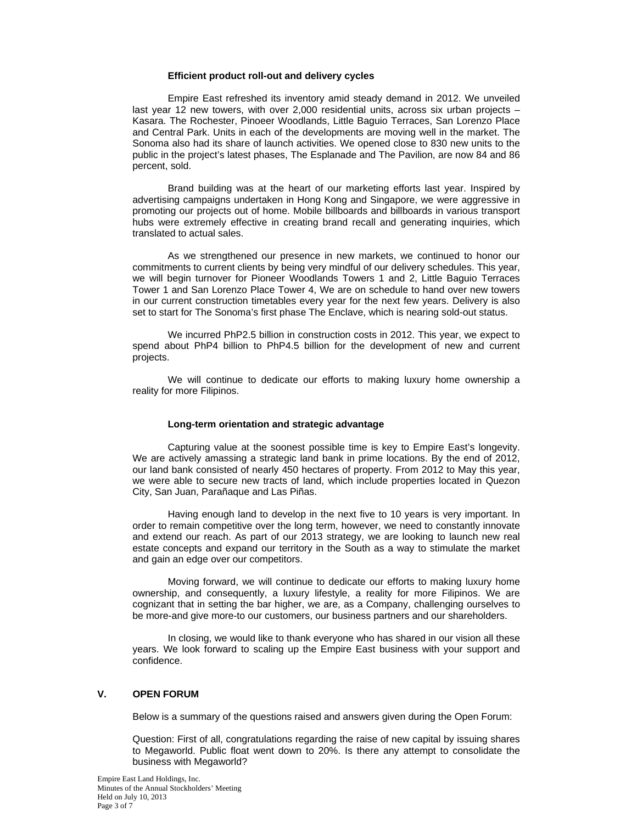#### **Efficient product roll-out and delivery cycles**

Empire East refreshed its inventory amid steady demand in 2012. We unveiled last year 12 new towers, with over 2,000 residential units, across six urban projects – Kasara. The Rochester, Pinoeer Woodlands, Little Baguio Terraces, San Lorenzo Place and Central Park. Units in each of the developments are moving well in the market. The Sonoma also had its share of launch activities. We opened close to 830 new units to the public in the project's latest phases, The Esplanade and The Pavilion, are now 84 and 86 percent, sold.

Brand building was at the heart of our marketing efforts last year. Inspired by advertising campaigns undertaken in Hong Kong and Singapore, we were aggressive in promoting our projects out of home. Mobile billboards and billboards in various transport hubs were extremely effective in creating brand recall and generating inquiries, which translated to actual sales.

As we strengthened our presence in new markets, we continued to honor our commitments to current clients by being very mindful of our delivery schedules. This year, we will begin turnover for Pioneer Woodlands Towers 1 and 2, Little Baguio Terraces Tower 1 and San Lorenzo Place Tower 4, We are on schedule to hand over new towers in our current construction timetables every year for the next few years. Delivery is also set to start for The Sonoma's first phase The Enclave, which is nearing sold-out status.

We incurred PhP2.5 billion in construction costs in 2012. This year, we expect to spend about PhP4 billion to PhP4.5 billion for the development of new and current projects.

We will continue to dedicate our efforts to making luxury home ownership a reality for more Filipinos.

#### **Long-term orientation and strategic advantage**

Capturing value at the soonest possible time is key to Empire East's longevity. We are actively amassing a strategic land bank in prime locations. By the end of 2012, our land bank consisted of nearly 450 hectares of property. From 2012 to May this year, we were able to secure new tracts of land, which include properties located in Quezon City, San Juan, Parañaque and Las Piñas.

Having enough land to develop in the next five to 10 years is very important. In order to remain competitive over the long term, however, we need to constantly innovate and extend our reach. As part of our 2013 strategy, we are looking to launch new real estate concepts and expand our territory in the South as a way to stimulate the market and gain an edge over our competitors.

Moving forward, we will continue to dedicate our efforts to making luxury home ownership, and consequently, a luxury lifestyle, a reality for more Filipinos. We are cognizant that in setting the bar higher, we are, as a Company, challenging ourselves to be more-and give more-to our customers, our business partners and our shareholders.

In closing, we would like to thank everyone who has shared in our vision all these years. We look forward to scaling up the Empire East business with your support and confidence.

# **V. OPEN FORUM**

Below is a summary of the questions raised and answers given during the Open Forum:

Question: First of all, congratulations regarding the raise of new capital by issuing shares to Megaworld. Public float went down to 20%. Is there any attempt to consolidate the business with Megaworld?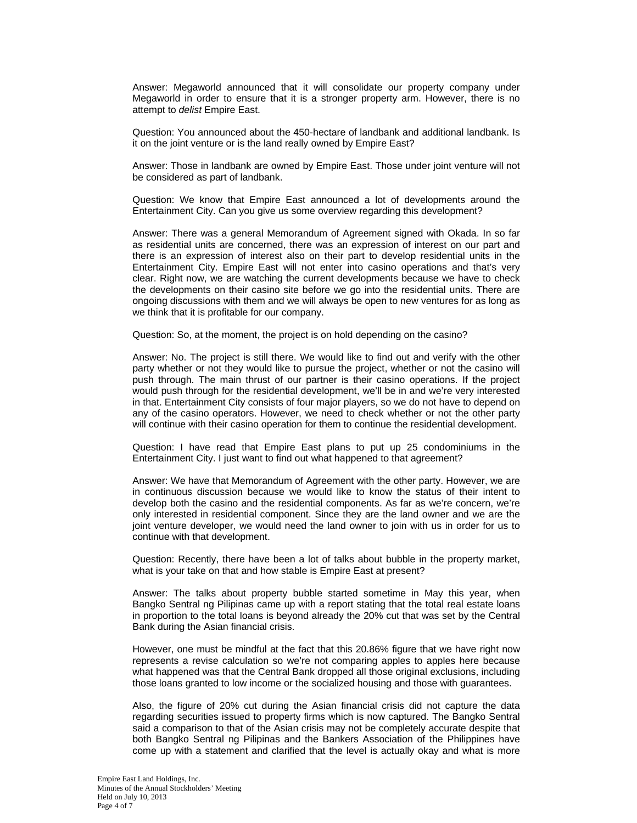Answer: Megaworld announced that it will consolidate our property company under Megaworld in order to ensure that it is a stronger property arm. However, there is no attempt to *delist* Empire East.

Question: You announced about the 450-hectare of landbank and additional landbank. Is it on the joint venture or is the land really owned by Empire East?

Answer: Those in landbank are owned by Empire East. Those under joint venture will not be considered as part of landbank.

Question: We know that Empire East announced a lot of developments around the Entertainment City. Can you give us some overview regarding this development?

Answer: There was a general Memorandum of Agreement signed with Okada. In so far as residential units are concerned, there was an expression of interest on our part and there is an expression of interest also on their part to develop residential units in the Entertainment City. Empire East will not enter into casino operations and that's very clear. Right now, we are watching the current developments because we have to check the developments on their casino site before we go into the residential units. There are ongoing discussions with them and we will always be open to new ventures for as long as we think that it is profitable for our company.

Question: So, at the moment, the project is on hold depending on the casino?

Answer: No. The project is still there. We would like to find out and verify with the other party whether or not they would like to pursue the project, whether or not the casino will push through. The main thrust of our partner is their casino operations. If the project would push through for the residential development, we'll be in and we're very interested in that. Entertainment City consists of four major players, so we do not have to depend on any of the casino operators. However, we need to check whether or not the other party will continue with their casino operation for them to continue the residential development.

Question: I have read that Empire East plans to put up 25 condominiums in the Entertainment City. I just want to find out what happened to that agreement?

Answer: We have that Memorandum of Agreement with the other party. However, we are in continuous discussion because we would like to know the status of their intent to develop both the casino and the residential components. As far as we're concern, we're only interested in residential component. Since they are the land owner and we are the joint venture developer, we would need the land owner to join with us in order for us to continue with that development.

Question: Recently, there have been a lot of talks about bubble in the property market, what is your take on that and how stable is Empire East at present?

Answer: The talks about property bubble started sometime in May this year, when Bangko Sentral ng Pilipinas came up with a report stating that the total real estate loans in proportion to the total loans is beyond already the 20% cut that was set by the Central Bank during the Asian financial crisis.

However, one must be mindful at the fact that this 20.86% figure that we have right now represents a revise calculation so we're not comparing apples to apples here because what happened was that the Central Bank dropped all those original exclusions, including those loans granted to low income or the socialized housing and those with guarantees.

Also, the figure of 20% cut during the Asian financial crisis did not capture the data regarding securities issued to property firms which is now captured. The Bangko Sentral said a comparison to that of the Asian crisis may not be completely accurate despite that both Bangko Sentral ng Pilipinas and the Bankers Association of the Philippines have come up with a statement and clarified that the level is actually okay and what is more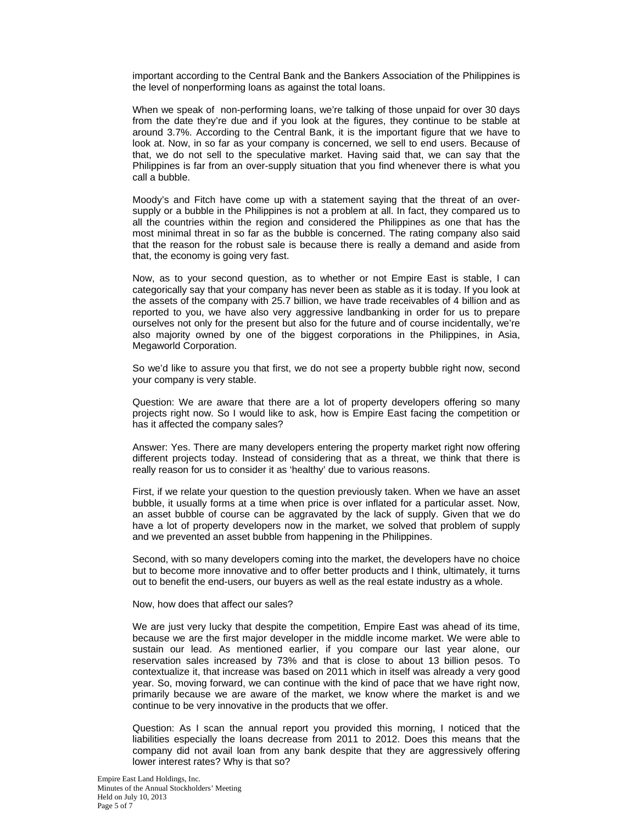important according to the Central Bank and the Bankers Association of the Philippines is the level of nonperforming loans as against the total loans.

When we speak of non-performing loans, we're talking of those unpaid for over 30 days from the date they're due and if you look at the figures, they continue to be stable at around 3.7%. According to the Central Bank, it is the important figure that we have to look at. Now, in so far as your company is concerned, we sell to end users. Because of that, we do not sell to the speculative market. Having said that, we can say that the Philippines is far from an over-supply situation that you find whenever there is what you call a bubble.

Moody's and Fitch have come up with a statement saying that the threat of an oversupply or a bubble in the Philippines is not a problem at all. In fact, they compared us to all the countries within the region and considered the Philippines as one that has the most minimal threat in so far as the bubble is concerned. The rating company also said that the reason for the robust sale is because there is really a demand and aside from that, the economy is going very fast.

Now, as to your second question, as to whether or not Empire East is stable, I can categorically say that your company has never been as stable as it is today. If you look at the assets of the company with 25.7 billion, we have trade receivables of 4 billion and as reported to you, we have also very aggressive landbanking in order for us to prepare ourselves not only for the present but also for the future and of course incidentally, we're also majority owned by one of the biggest corporations in the Philippines, in Asia, Megaworld Corporation.

So we'd like to assure you that first, we do not see a property bubble right now, second your company is very stable.

Question: We are aware that there are a lot of property developers offering so many projects right now. So I would like to ask, how is Empire East facing the competition or has it affected the company sales?

Answer: Yes. There are many developers entering the property market right now offering different projects today. Instead of considering that as a threat, we think that there is really reason for us to consider it as 'healthy' due to various reasons.

First, if we relate your question to the question previously taken. When we have an asset bubble, it usually forms at a time when price is over inflated for a particular asset. Now, an asset bubble of course can be aggravated by the lack of supply. Given that we do have a lot of property developers now in the market, we solved that problem of supply and we prevented an asset bubble from happening in the Philippines.

Second, with so many developers coming into the market, the developers have no choice but to become more innovative and to offer better products and I think, ultimately, it turns out to benefit the end-users, our buyers as well as the real estate industry as a whole.

Now, how does that affect our sales?

We are just very lucky that despite the competition, Empire East was ahead of its time, because we are the first major developer in the middle income market. We were able to sustain our lead. As mentioned earlier, if you compare our last year alone, our reservation sales increased by 73% and that is close to about 13 billion pesos. To contextualize it, that increase was based on 2011 which in itself was already a very good year. So, moving forward, we can continue with the kind of pace that we have right now, primarily because we are aware of the market, we know where the market is and we continue to be very innovative in the products that we offer.

Question: As I scan the annual report you provided this morning, I noticed that the liabilities especially the loans decrease from 2011 to 2012. Does this means that the company did not avail loan from any bank despite that they are aggressively offering lower interest rates? Why is that so?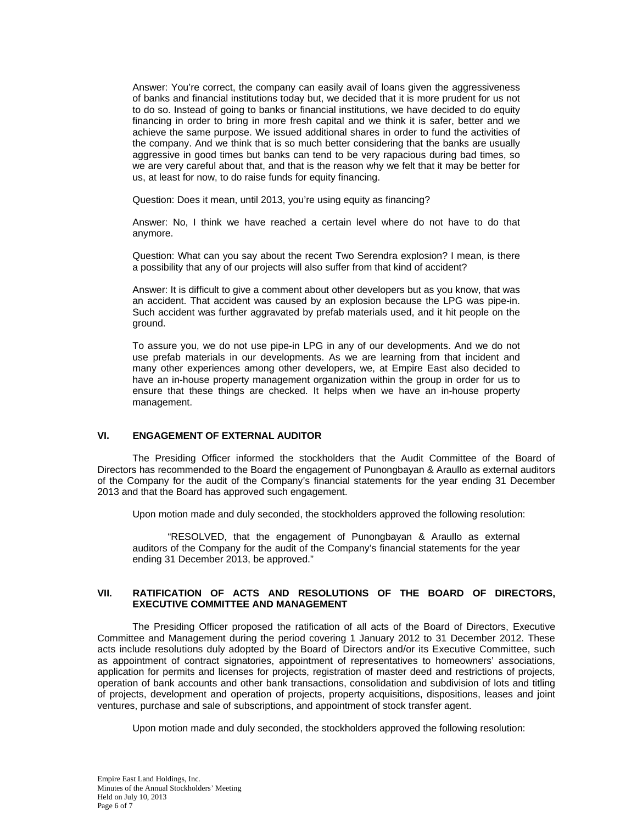Answer: You're correct, the company can easily avail of loans given the aggressiveness of banks and financial institutions today but, we decided that it is more prudent for us not to do so. Instead of going to banks or financial institutions, we have decided to do equity financing in order to bring in more fresh capital and we think it is safer, better and we achieve the same purpose. We issued additional shares in order to fund the activities of the company. And we think that is so much better considering that the banks are usually aggressive in good times but banks can tend to be very rapacious during bad times, so we are very careful about that, and that is the reason why we felt that it may be better for us, at least for now, to do raise funds for equity financing.

Question: Does it mean, until 2013, you're using equity as financing?

Answer: No, I think we have reached a certain level where do not have to do that anymore.

Question: What can you say about the recent Two Serendra explosion? I mean, is there a possibility that any of our projects will also suffer from that kind of accident?

Answer: It is difficult to give a comment about other developers but as you know, that was an accident. That accident was caused by an explosion because the LPG was pipe-in. Such accident was further aggravated by prefab materials used, and it hit people on the ground.

To assure you, we do not use pipe-in LPG in any of our developments. And we do not use prefab materials in our developments. As we are learning from that incident and many other experiences among other developers, we, at Empire East also decided to have an in-house property management organization within the group in order for us to ensure that these things are checked. It helps when we have an in-house property management.

# **VI. ENGAGEMENT OF EXTERNAL AUDITOR**

The Presiding Officer informed the stockholders that the Audit Committee of the Board of Directors has recommended to the Board the engagement of Punongbayan & Araullo as external auditors of the Company for the audit of the Company's financial statements for the year ending 31 December 2013 and that the Board has approved such engagement.

Upon motion made and duly seconded, the stockholders approved the following resolution:

"RESOLVED, that the engagement of Punongbayan & Araullo as external auditors of the Company for the audit of the Company's financial statements for the year ending 31 December 2013, be approved."

# **VII. RATIFICATION OF ACTS AND RESOLUTIONS OF THE BOARD OF DIRECTORS, EXECUTIVE COMMITTEE AND MANAGEMENT**

The Presiding Officer proposed the ratification of all acts of the Board of Directors, Executive Committee and Management during the period covering 1 January 2012 to 31 December 2012. These acts include resolutions duly adopted by the Board of Directors and/or its Executive Committee, such as appointment of contract signatories, appointment of representatives to homeowners' associations, application for permits and licenses for projects, registration of master deed and restrictions of projects, operation of bank accounts and other bank transactions, consolidation and subdivision of lots and titling of projects, development and operation of projects, property acquisitions, dispositions, leases and joint ventures, purchase and sale of subscriptions, and appointment of stock transfer agent.

Upon motion made and duly seconded, the stockholders approved the following resolution: